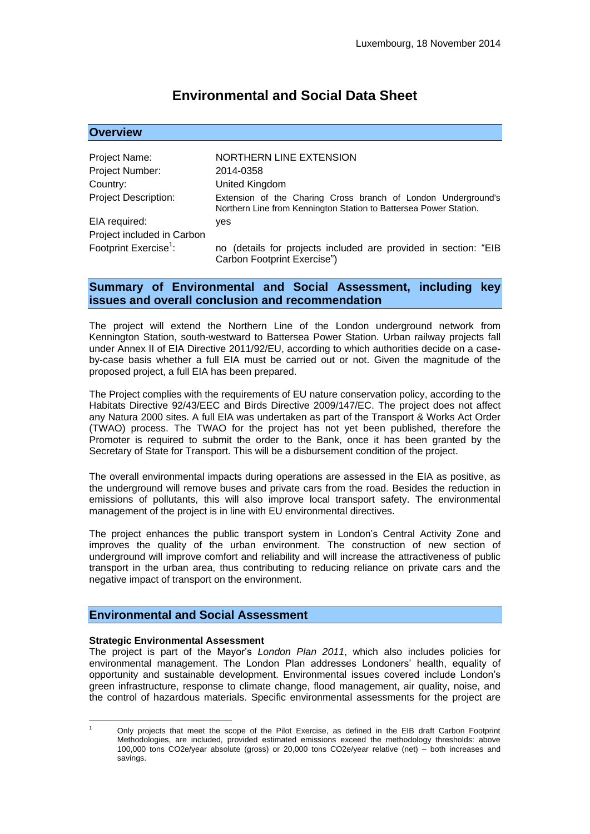# **Environmental and Social Data Sheet**

| <b>Overview</b>                   |                                                                                                                                    |
|-----------------------------------|------------------------------------------------------------------------------------------------------------------------------------|
|                                   |                                                                                                                                    |
| Project Name:                     | NORTHERN LINE EXTENSION                                                                                                            |
| Project Number:                   | 2014-0358                                                                                                                          |
| Country:                          | United Kingdom                                                                                                                     |
| <b>Project Description:</b>       | Extension of the Charing Cross branch of London Underground's<br>Northern Line from Kennington Station to Battersea Power Station. |
| EIA required:                     | yes                                                                                                                                |
| Project included in Carbon        |                                                                                                                                    |
| Footprint Exercise <sup>1</sup> : | no (details for projects included are provided in section: "EIB<br>Carbon Footprint Exercise")                                     |

# **Summary of Environmental and Social Assessment, including key issues and overall conclusion and recommendation**

The project will extend the Northern Line of the London underground network from Kennington Station, south-westward to Battersea Power Station. Urban railway projects fall under Annex II of EIA Directive 2011/92/EU, according to which authorities decide on a caseby-case basis whether a full EIA must be carried out or not. Given the magnitude of the proposed project, a full EIA has been prepared.

The Project complies with the requirements of EU nature conservation policy, according to the Habitats Directive 92/43/EEC and Birds Directive 2009/147/EC. The project does not affect any Natura 2000 sites. A full EIA was undertaken as part of the Transport & Works Act Order (TWAO) process. The TWAO for the project has not yet been published, therefore the Promoter is required to submit the order to the Bank, once it has been granted by the Secretary of State for Transport. This will be a disbursement condition of the project.

The overall environmental impacts during operations are assessed in the EIA as positive, as the underground will remove buses and private cars from the road. Besides the reduction in emissions of pollutants, this will also improve local transport safety. The environmental management of the project is in line with EU environmental directives.

The project enhances the public transport system in London's Central Activity Zone and improves the quality of the urban environment. The construction of new section of underground will improve comfort and reliability and will increase the attractiveness of public transport in the urban area, thus contributing to reducing reliance on private cars and the negative impact of transport on the environment.

# **Environmental and Social Assessment**

#### **Strategic Environmental Assessment**

1

The project is part of the Mayor's *London Plan 2011*, which also includes policies for environmental management. The London Plan addresses Londoners' health, equality of opportunity and sustainable development. Environmental issues covered include London's green infrastructure, response to climate change, flood management, air quality, noise, and the control of hazardous materials. Specific environmental assessments for the project are

<sup>1</sup> Only projects that meet the scope of the Pilot Exercise, as defined in the EIB draft Carbon Footprint Methodologies, are included, provided estimated emissions exceed the methodology thresholds: above 100,000 tons CO2e/year absolute (gross) or 20,000 tons CO2e/year relative (net) – both increases and savings.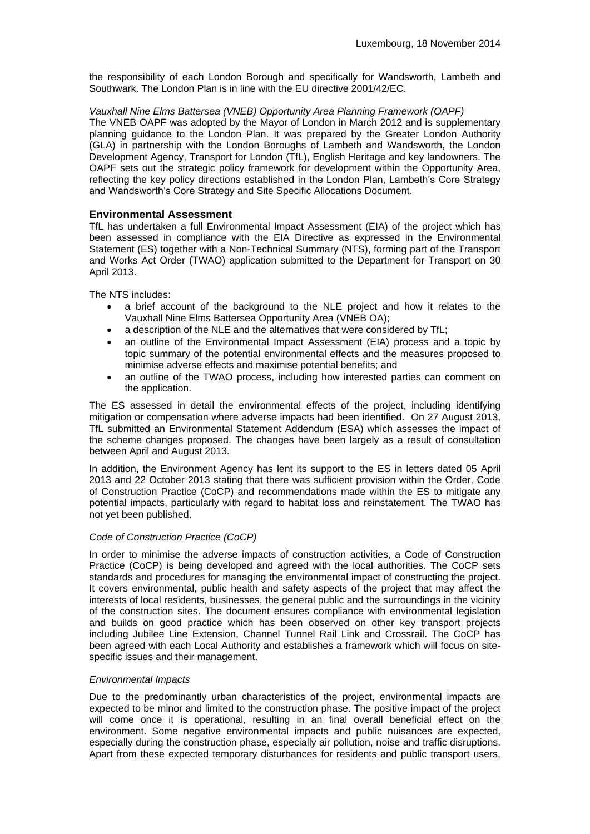the responsibility of each London Borough and specifically for Wandsworth, Lambeth and Southwark. The London Plan is in line with the EU directive 2001/42/EC.

# *Vauxhall Nine Elms Battersea (VNEB) Opportunity Area Planning Framework (OAPF)*

The VNEB OAPF was adopted by the Mayor of London in March 2012 and is supplementary planning guidance to the London Plan. It was prepared by the Greater London Authority (GLA) in partnership with the London Boroughs of Lambeth and Wandsworth, the London Development Agency, Transport for London (TfL), English Heritage and key landowners. The OAPF sets out the strategic policy framework for development within the Opportunity Area, reflecting the key policy directions established in the London Plan, Lambeth's Core Strategy and Wandsworth's Core Strategy and Site Specific Allocations Document.

# **Environmental Assessment**

TfL has undertaken a full Environmental Impact Assessment (EIA) of the project which has been assessed in compliance with the EIA Directive as expressed in the Environmental Statement (ES) together with a Non-Technical Summary (NTS), forming part of the Transport and Works Act Order (TWAO) application submitted to the Department for Transport on 30 April 2013.

The NTS includes:

- a brief account of the background to the NLE project and how it relates to the Vauxhall Nine Elms Battersea Opportunity Area (VNEB OA);
- a description of the NLE and the alternatives that were considered by TfL;
- an outline of the Environmental Impact Assessment (EIA) process and a topic by topic summary of the potential environmental effects and the measures proposed to minimise adverse effects and maximise potential benefits; and
- an outline of the TWAO process, including how interested parties can comment on the application.

The ES assessed in detail the environmental effects of the project, including identifying mitigation or compensation where adverse impacts had been identified. On 27 August 2013, TfL submitted an Environmental Statement Addendum (ESA) which assesses the impact of the scheme changes proposed. The changes have been largely as a result of consultation between April and August 2013.

In addition, the Environment Agency has lent its support to the ES in letters dated 05 April 2013 and 22 October 2013 stating that there was sufficient provision within the Order, Code of Construction Practice (CoCP) and recommendations made within the ES to mitigate any potential impacts, particularly with regard to habitat loss and reinstatement. The TWAO has not yet been published.

#### *Code of Construction Practice (CoCP)*

In order to minimise the adverse impacts of construction activities, a Code of Construction Practice (CoCP) is being developed and agreed with the local authorities. The CoCP sets standards and procedures for managing the environmental impact of constructing the project. It covers environmental, public health and safety aspects of the project that may affect the interests of local residents, businesses, the general public and the surroundings in the vicinity of the construction sites. The document ensures compliance with environmental legislation and builds on good practice which has been observed on other key transport projects including Jubilee Line Extension, Channel Tunnel Rail Link and Crossrail. The CoCP has been agreed with each Local Authority and establishes a framework which will focus on sitespecific issues and their management.

#### *Environmental Impacts*

Due to the predominantly urban characteristics of the project, environmental impacts are expected to be minor and limited to the construction phase. The positive impact of the project will come once it is operational, resulting in an final overall beneficial effect on the environment. Some negative environmental impacts and public nuisances are expected, especially during the construction phase, especially air pollution, noise and traffic disruptions. Apart from these expected temporary disturbances for residents and public transport users,